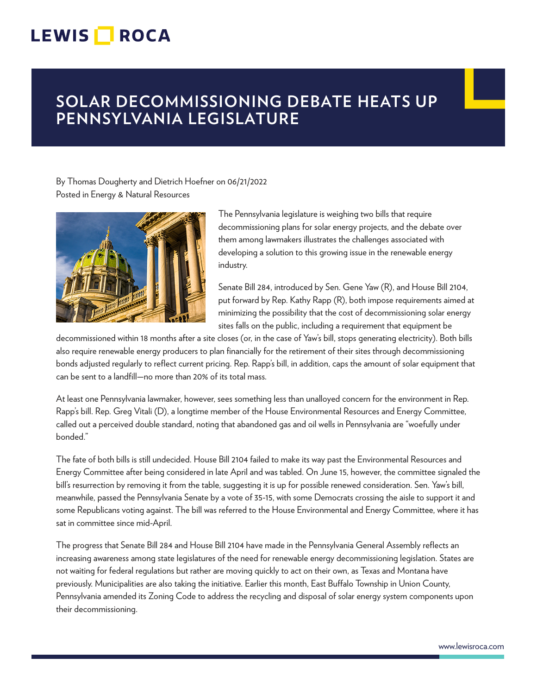## **LEWIS ROCA**

## **SOLAR DECOMMISSIONING DEBATE HEATS UP PENNSYLVANIA LEGISLATURE**

By Thomas Dougherty and Dietrich Hoefner on 06/21/2022 Posted in Energy & Natural Resources



The Pennsylvania legislature is weighing two bills that require decommissioning plans for solar energy projects, and the debate over them among lawmakers illustrates the challenges associated with developing a solution to this growing issue in the renewable energy industry.

Senate Bill 284, introduced by Sen. Gene Yaw (R), and House Bill 2104, put forward by Rep. Kathy Rapp (R), both impose requirements aimed at minimizing the possibility that the cost of decommissioning solar energy sites falls on the public, including a requirement that equipment be

decommissioned within 18 months after a site closes (or, in the case of Yaw's bill, stops generating electricity). Both bills also require renewable energy producers to plan financially for the retirement of their sites through decommissioning bonds adjusted regularly to reflect current pricing. Rep. Rapp's bill, in addition, caps the amount of solar equipment that can be sent to a landfill—no more than 20% of its total mass.

At least one Pennsylvania lawmaker, however, sees something less than unalloyed concern for the environment in Rep. Rapp's bill. Rep. Greg Vitali (D), a longtime member of the House Environmental Resources and Energy Committee, called out a perceived double standard, noting that abandoned gas and oil wells in Pennsylvania are "woefully under bonded."

The fate of both bills is still undecided. House Bill 2104 failed to make its way past the Environmental Resources and Energy Committee after being considered in late April and was tabled. On June 15, however, the committee signaled the bill's resurrection by removing it from the table, suggesting it is up for possible renewed consideration. Sen. Yaw's bill, meanwhile, passed the Pennsylvania Senate by a vote of 35-15, with some Democrats crossing the aisle to support it and some Republicans voting against. The bill was referred to the House Environmental and Energy Committee, where it has sat in committee since mid-April.

The progress that Senate Bill 284 and House Bill 2104 have made in the Pennsylvania General Assembly reflects an increasing awareness among state legislatures of the need for renewable energy decommissioning legislation. States are not waiting for federal regulations but rather are moving quickly to act on their own, as Texas and Montana have previously. Municipalities are also taking the initiative. Earlier this month, East Buffalo Township in Union County, Pennsylvania amended its Zoning Code to address the recycling and disposal of solar energy system components upon their decommissioning.